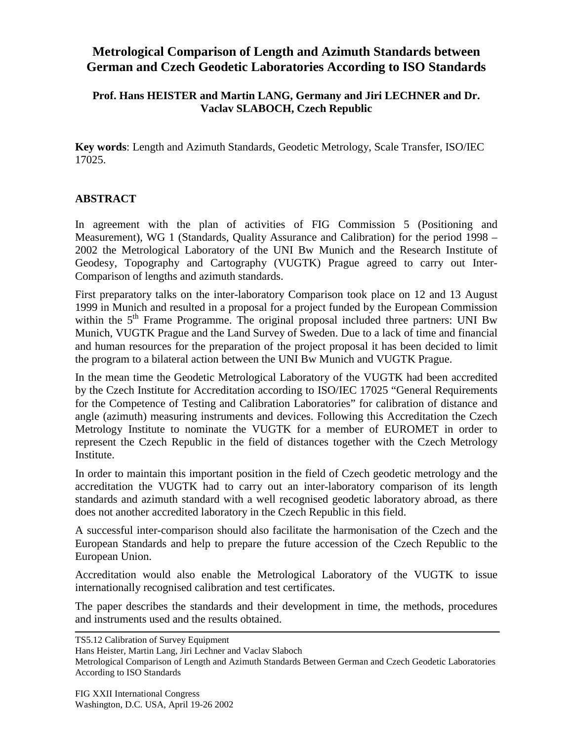# **Metrological Comparison of Length and Azimuth Standards between German and Czech Geodetic Laboratories According to ISO Standards**

#### **Prof. Hans HEISTER and Martin LANG, Germany and Jiri LECHNER and Dr. Vaclav SLABOCH, Czech Republic**

**Key words**: Length and Azimuth Standards, Geodetic Metrology, Scale Transfer, ISO/IEC 17025.

#### **ABSTRACT**

In agreement with the plan of activities of FIG Commission 5 (Positioning and Measurement), WG 1 (Standards, Quality Assurance and Calibration) for the period 1998 – 2002 the Metrological Laboratory of the UNI Bw Munich and the Research Institute of Geodesy, Topography and Cartography (VUGTK) Prague agreed to carry out Inter-Comparison of lengths and azimuth standards.

First preparatory talks on the inter-laboratory Comparison took place on 12 and 13 August 1999 in Munich and resulted in a proposal for a project funded by the European Commission within the 5<sup>th</sup> Frame Programme. The original proposal included three partners: UNI Bw Munich, VUGTK Prague and the Land Survey of Sweden. Due to a lack of time and financial and human resources for the preparation of the project proposal it has been decided to limit the program to a bilateral action between the UNI Bw Munich and VUGTK Prague.

In the mean time the Geodetic Metrological Laboratory of the VUGTK had been accredited by the Czech Institute for Accreditation according to ISO/IEC 17025 "General Requirements for the Competence of Testing and Calibration Laboratories" for calibration of distance and angle (azimuth) measuring instruments and devices. Following this Accreditation the Czech Metrology Institute to nominate the VUGTK for a member of EUROMET in order to represent the Czech Republic in the field of distances together with the Czech Metrology Institute.

In order to maintain this important position in the field of Czech geodetic metrology and the accreditation the VUGTK had to carry out an inter-laboratory comparison of its length standards and azimuth standard with a well recognised geodetic laboratory abroad, as there does not another accredited laboratory in the Czech Republic in this field.

A successful inter-comparison should also facilitate the harmonisation of the Czech and the European Standards and help to prepare the future accession of the Czech Republic to the European Union.

Accreditation would also enable the Metrological Laboratory of the VUGTK to issue internationally recognised calibration and test certificates.

The paper describes the standards and their development in time, the methods, procedures and instruments used and the results obtained.

TS5.12 Calibration of Survey Equipment

Hans Heister, Martin Lang, Jiri Lechner and Vaclav Slaboch

Metrological Comparison of Length and Azimuth Standards Between German and Czech Geodetic Laboratories According to ISO Standards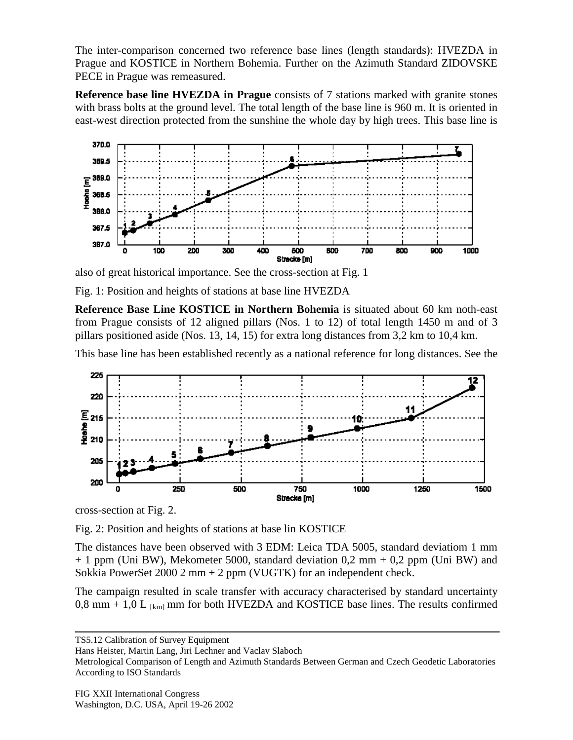The inter-comparison concerned two reference base lines (length standards): HVEZDA in Prague and KOSTICE in Northern Bohemia. Further on the Azimuth Standard ZIDOVSKE PECE in Prague was remeasured.

**Reference base line HVEZDA in Prague** consists of 7 stations marked with granite stones with brass bolts at the ground level. The total length of the base line is 960 m. It is oriented in east-west direction protected from the sunshine the whole day by high trees. This base line is



also of great historical importance. See the cross-section at Fig. 1

Fig. 1: Position and heights of stations at base line HVEZDA

**Reference Base Line KOSTICE in Northern Bohemia** is situated about 60 km noth-east from Prague consists of 12 aligned pillars (Nos. 1 to 12) of total length 1450 m and of 3 pillars positioned aside (Nos. 13, 14, 15) for extra long distances from 3,2 km to 10,4 km.

This base line has been established recently as a national reference for long distances. See the



cross-section at Fig. 2.

Fig. 2: Position and heights of stations at base lin KOSTICE

The distances have been observed with 3 EDM: Leica TDA 5005, standard deviatiom 1 mm  $+ 1$  ppm (Uni BW), Mekometer 5000, standard deviation 0,2 mm  $+ 0.2$  ppm (Uni BW) and Sokkia PowerSet 2000 2 mm + 2 ppm (VUGTK) for an independent check.

The campaign resulted in scale transfer with accuracy characterised by standard uncertainty 0,8 mm + 1,0 L  $_{[km]}$  mm for both HVEZDA and KOSTICE base lines. The results confirmed

TS5.12 Calibration of Survey Equipment

Hans Heister, Martin Lang, Jiri Lechner and Vaclav Slaboch

Metrological Comparison of Length and Azimuth Standards Between German and Czech Geodetic Laboratories According to ISO Standards